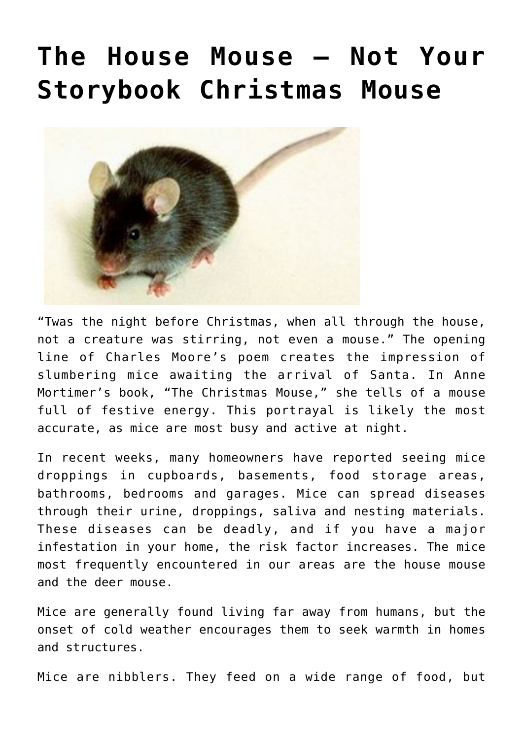## **[The House Mouse – Not Your](https://livewellutah.org/2021/11/12/the-house-mouse-not-your-storybook-christmas-mouse/) [Storybook Christmas Mouse](https://livewellutah.org/2021/11/12/the-house-mouse-not-your-storybook-christmas-mouse/)**



"Twas the night before Christmas, when all through the house, not a creature was stirring, not even a mouse." The opening line of Charles Moore's poem creates the impression of slumbering mice awaiting the arrival of Santa. In Anne Mortimer's book, "The Christmas Mouse," she tells of a mouse full of festive energy. This portrayal is likely the most accurate, as mice are most busy and active at night.

In recent weeks, many homeowners have reported seeing mice droppings in cupboards, basements, food storage areas, bathrooms, bedrooms and garages. Mice can spread diseases through their urine, droppings, saliva and nesting materials. These diseases can be deadly, and if you have a major infestation in your home, the risk factor increases. The mice most frequently encountered in our areas are the house mouse and the deer mouse.

Mice are generally found living far away from humans, but the onset of cold weather encourages them to seek warmth in homes and structures.

Mice are nibblers. They feed on a wide range of food, but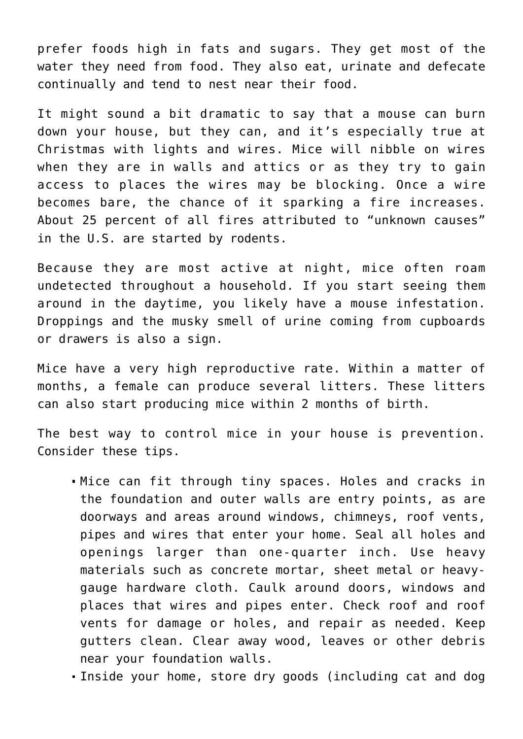prefer foods high in fats and sugars. They get most of the water they need from food. They also eat, urinate and defecate continually and tend to nest near their food.

It might sound a bit dramatic to say that a mouse can burn down your house, but they can, and it's especially true at Christmas with lights and wires. Mice will nibble on wires when they are in walls and attics or as they try to gain access to places the wires may be blocking. Once a wire becomes bare, the chance of it sparking a fire increases. About 25 percent of all fires attributed to "unknown causes" in the U.S. are started by rodents.

Because they are most active at night, mice often roam undetected throughout a household. If you start seeing them around in the daytime, you likely have a mouse infestation. Droppings and the musky smell of urine coming from cupboards or drawers is also a sign.

Mice have a very high reproductive rate. Within a matter of months, a female can produce several litters. These litters can also start producing mice within 2 months of birth.

The best way to control mice in your house is prevention. Consider these tips.

- Mice can fit through tiny spaces. Holes and cracks in the foundation and outer walls are entry points, as are doorways and areas around windows, chimneys, roof vents, pipes and wires that enter your home. Seal all holes and openings larger than one-quarter inch. Use heavy materials such as concrete mortar, sheet metal or heavygauge hardware cloth. Caulk around doors, windows and places that wires and pipes enter. Check roof and roof vents for damage or holes, and repair as needed. Keep gutters clean. Clear away wood, leaves or other debris near your foundation walls.
- Inside your home, store dry goods (including cat and dog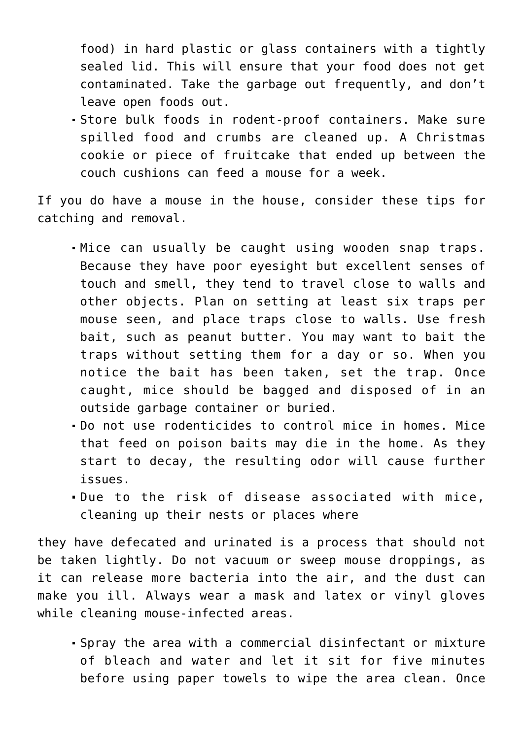food) in hard plastic or glass containers with a tightly sealed lid. This will ensure that your food does not get contaminated. Take the garbage out frequently, and don't leave open foods out.

Store bulk foods in rodent-proof containers. Make sure spilled food and crumbs are cleaned up. A Christmas cookie or piece of fruitcake that ended up between the couch cushions can feed a mouse for a week.

If you do have a mouse in the house, consider these tips for catching and removal.

- Mice can usually be caught using wooden snap traps. Because they have poor eyesight but excellent senses of touch and smell, they tend to travel close to walls and other objects. Plan on setting at least six traps per mouse seen, and place traps close to walls. Use fresh bait, such as peanut butter. You may want to bait the traps without setting them for a day or so. When you notice the bait has been taken, set the trap. Once caught, mice should be bagged and disposed of in an outside garbage container or buried.
- Do not use rodenticides to control mice in homes. Mice that feed on poison baits may die in the home. As they start to decay, the resulting odor will cause further issues.
- Due to the risk of disease associated with mice, cleaning up their nests or places where

they have defecated and urinated is a process that should not be taken lightly. Do not vacuum or sweep mouse droppings, as it can release more bacteria into the air, and the dust can make you ill. Always wear a mask and latex or vinyl gloves while cleaning mouse-infected areas.

Spray the area with a commercial disinfectant or mixture of bleach and water and let it sit for five minutes before using paper towels to wipe the area clean. Once